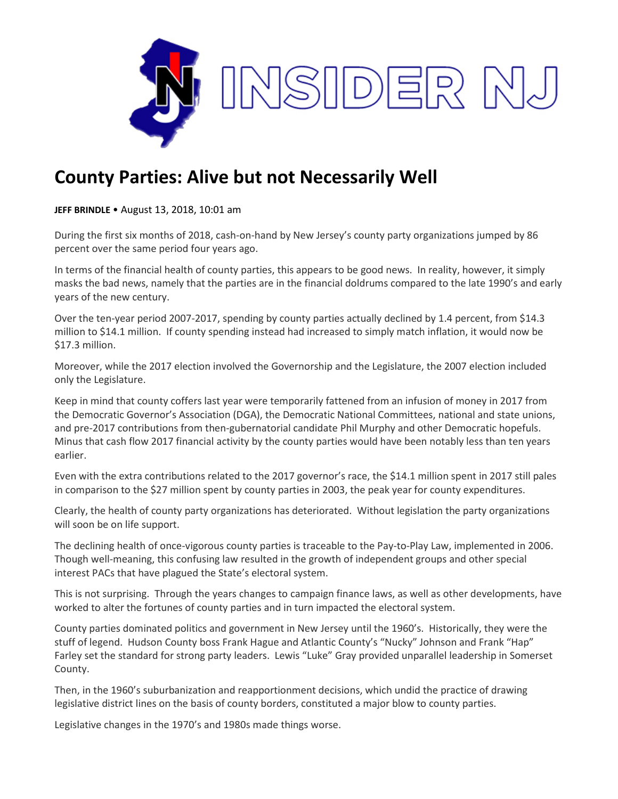

## **County Parties: Alive but not Necessarily Well**

**JEFF BRINDLE** • August 13, 2018, 10:01 am

During the first six months of 2018, cash-on-hand by New Jersey's county party organizations jumped by 86 percent over the same period four years ago.

In terms of the financial health of county parties, this appears to be good news. In reality, however, it simply masks the bad news, namely that the parties are in the financial doldrums compared to the late 1990's and early years of the new century.

Over the ten-year period 2007-2017, spending by county parties actually declined by 1.4 percent, from \$14.3 million to \$14.1 million. If county spending instead had increased to simply match inflation, it would now be \$17.3 million.

Moreover, while the 2017 election involved the Governorship and the Legislature, the 2007 election included only the Legislature.

Keep in mind that county coffers last year were temporarily fattened from an infusion of money in 2017 from the Democratic Governor's Association (DGA), the Democratic National Committees, national and state unions, and pre-2017 contributions from then-gubernatorial candidate Phil Murphy and other Democratic hopefuls. Minus that cash flow 2017 financial activity by the county parties would have been notably less than ten years earlier.

Even with the extra contributions related to the 2017 governor's race, the \$14.1 million spent in 2017 still pales in comparison to the \$27 million spent by county parties in 2003, the peak year for county expenditures.

Clearly, the health of county party organizations has deteriorated. Without legislation the party organizations will soon be on life support.

The declining health of once-vigorous county parties is traceable to the Pay-to-Play Law, implemented in 2006. Though well-meaning, this confusing law resulted in the growth of independent groups and other special interest PACs that have plagued the State's electoral system.

This is not surprising. Through the years changes to campaign finance laws, as well as other developments, have worked to alter the fortunes of county parties and in turn impacted the electoral system.

County parties dominated politics and government in New Jersey until the 1960's. Historically, they were the stuff of legend. Hudson County boss Frank Hague and Atlantic County's "Nucky" Johnson and Frank "Hap" Farley set the standard for strong party leaders. Lewis "Luke" Gray provided unparallel leadership in Somerset County.

Then, in the 1960's suburbanization and reapportionment decisions, which undid the practice of drawing legislative district lines on the basis of county borders, constituted a major blow to county parties.

Legislative changes in the 1970's and 1980s made things worse.